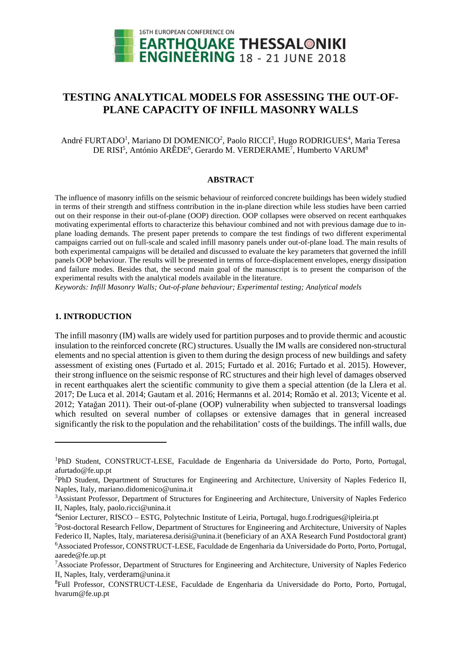

# **TESTING ANALYTICAL MODELS FOR ASSESSING THE OUT-OF-PLANE CAPACITY OF INFILL MASONRY WALLS**

André FURTADO<sup>1</sup>, Mariano DI DOMENICO<sup>2</sup>, Paolo RICCI<sup>3</sup>, Hugo RODRIGUES<sup>4</sup>, Maria Teresa DE RISI<sup>5</sup>, António ARÊDE<sup>6</sup>, Gerardo M. VERDERAME<sup>7</sup>, Humberto VARUM<sup>8</sup>

## **ABSTRACT**

The influence of masonry infills on the seismic behaviour of reinforced concrete buildings has been widely studied in terms of their strength and stiffness contribution in the in-plane direction while less studies have been carried out on their response in their out-of-plane (OOP) direction. OOP collapses were observed on recent earthquakes motivating experimental efforts to characterize this behaviour combined and not with previous damage due to inplane loading demands. The present paper pretends to compare the test findings of two different experimental campaigns carried out on full-scale and scaled infill masonry panels under out-of-plane load. The main results of both experimental campaigns will be detailed and discussed to evaluate the key parameters that governed the infill panels OOP behaviour. The results will be presented in terms of force-displacement envelopes, energy dissipation and failure modes. Besides that, the second main goal of the manuscript is to present the comparison of the experimental results with the analytical models available in the literature.

*Keywords: Infill Masonry Walls; Out-of-plane behaviour; Experimental testing; Analytical models* 

## **1. INTRODUCTION**

 $\overline{a}$ 

The infill masonry (IM) walls are widely used for partition purposes and to provide thermic and acoustic insulation to the reinforced concrete (RC) structures. Usually the IM walls are considered non-structural elements and no special attention is given to them during the design process of new buildings and safety assessment of existing ones (Furtado et al. 2015; Furtado et al. 2016; Furtado et al. 2015). However, their strong influence on the seismic response of RC structures and their high level of damages observed in recent earthquakes alert the scientific community to give them a special attention (de la Llera et al. 2017; De Luca et al. 2014; Gautam et al. 2016; Hermanns et al. 2014; Romão et al. 2013; Vicente et al. 2012; Yatağan 2011). Their out-of-plane (OOP) vulnerability when subjected to transversal loadings which resulted on several number of collapses or extensive damages that in general increased significantly the risk to the population and the rehabilitation' costs of the buildings. The infill walls, due

<sup>1</sup>PhD Student, CONSTRUCT-LESE, Faculdade de Engenharia da Universidade do Porto, Porto, Portugal, afurtado@fe.up.pt

<sup>&</sup>lt;sup>2</sup>PhD Student, Department of Structures for Engineering and Architecture, University of Naples Federico II, Naples, Italy, mariano.didomenico@unina.it

<sup>3</sup>Assistant Professor, Department of Structures for Engineering and Architecture, University of Naples Federico II, Naples, Italy, paolo.ricci@unina.it

<sup>4</sup>Senior Lecturer, RISCO – ESTG, Polytechnic Institute of Leiria, Portugal, hugo.f.rodrigues@ipleiria.pt

<sup>5</sup>Post-doctoral Research Fellow, Department of Structures for Engineering and Architecture, University of Naples Federico II, Naples, Italy, mariateresa.derisi@unina.it (beneficiary of an AXA Research Fund Postdoctoral grant) <sup>6</sup>Associated Professor, CONSTRUCT-LESE, Faculdade de Engenharia da Universidade do Porto, Porto, Portugal, aarede@fe.up.pt

<sup>7</sup>Associate Professor, Department of Structures for Engineering and Architecture, University of Naples Federico II, Naples, Italy, verderam@unina.it

<sup>8</sup>Full Professor, CONSTRUCT-LESE, Faculdade de Engenharia da Universidade do Porto, Porto, Portugal, hvarum@fe.up.pt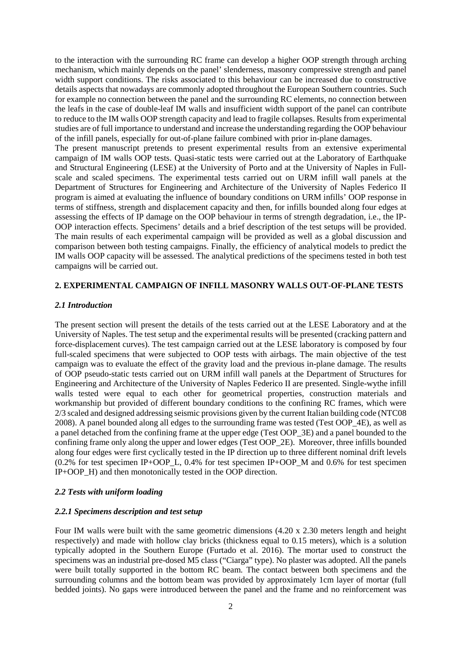to the interaction with the surrounding RC frame can develop a higher OOP strength through arching mechanism, which mainly depends on the panel' slenderness, masonry compressive strength and panel width support conditions. The risks associated to this behaviour can be increased due to constructive details aspects that nowadays are commonly adopted throughout the European Southern countries. Such for example no connection between the panel and the surrounding RC elements, no connection between the leafs in the case of double-leaf IM walls and insufficient width support of the panel can contribute to reduce to the IM walls OOP strength capacity and lead to fragile collapses. Results from experimental studies are of full importance to understand and increase the understanding regarding the OOP behaviour of the infill panels, especially for out-of-plane failure combined with prior in-plane damages.

The present manuscript pretends to present experimental results from an extensive experimental campaign of IM walls OOP tests. Quasi-static tests were carried out at the Laboratory of Earthquake and Structural Engineering (LESE) at the University of Porto and at the University of Naples in Fullscale and scaled specimens. The experimental tests carried out on URM infill wall panels at the Department of Structures for Engineering and Architecture of the University of Naples Federico II program is aimed at evaluating the influence of boundary conditions on URM infills' OOP response in terms of stiffness, strength and displacement capacity and then, for infills bounded along four edges at assessing the effects of IP damage on the OOP behaviour in terms of strength degradation, i.e., the IP-OOP interaction effects. Specimens' details and a brief description of the test setups will be provided. The main results of each experimental campaign will be provided as well as a global discussion and comparison between both testing campaigns. Finally, the efficiency of analytical models to predict the IM walls OOP capacity will be assessed. The analytical predictions of the specimens tested in both test campaigns will be carried out.

## **2. EXPERIMENTAL CAMPAIGN OF INFILL MASONRY WALLS OUT-OF-PLANE TESTS**

#### *2.1 Introduction*

The present section will present the details of the tests carried out at the LESE Laboratory and at the University of Naples. The test setup and the experimental results will be presented (cracking pattern and force-displacement curves). The test campaign carried out at the LESE laboratory is composed by four full-scaled specimens that were subjected to OOP tests with airbags. The main objective of the test campaign was to evaluate the effect of the gravity load and the previous in-plane damage. The results of OOP pseudo-static tests carried out on URM infill wall panels at the Department of Structures for Engineering and Architecture of the University of Naples Federico II are presented. Single-wythe infill walls tested were equal to each other for geometrical properties, construction materials and workmanship but provided of different boundary conditions to the confining RC frames, which were 2/3 scaled and designed addressing seismic provisions given by the current Italian building code (NTC08 2008). A panel bounded along all edges to the surrounding frame was tested (Test OOP\_4E), as well as a panel detached from the confining frame at the upper edge (Test OOP\_3E) and a panel bounded to the confining frame only along the upper and lower edges (Test OOP\_2E). Moreover, three infills bounded along four edges were first cyclically tested in the IP direction up to three different nominal drift levels (0.2% for test specimen IP+OOP\_L, 0.4% for test specimen IP+OOP\_M and 0.6% for test specimen IP+OOP\_H) and then monotonically tested in the OOP direction.

#### *2.2 Tests with uniform loading*

#### *2.2.1 Specimens description and test setup*

Four IM walls were built with the same geometric dimensions (4.20 x 2.30 meters length and height respectively) and made with hollow clay bricks (thickness equal to 0.15 meters), which is a solution typically adopted in the Southern Europe (Furtado et al. 2016). The mortar used to construct the specimens was an industrial pre-dosed M5 class ("Ciarga" type). No plaster was adopted. All the panels were built totally supported in the bottom RC beam. The contact between both specimens and the surrounding columns and the bottom beam was provided by approximately 1cm layer of mortar (full bedded joints). No gaps were introduced between the panel and the frame and no reinforcement was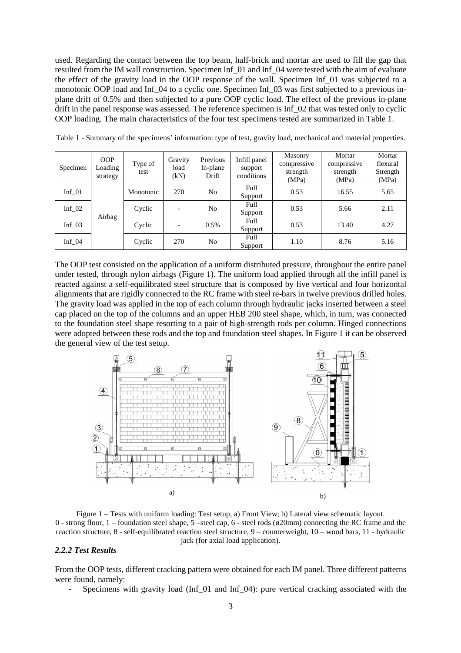used. Regarding the contact between the top beam, half-brick and mortar are used to fill the gap that resulted from the IM wall construction. Specimen Inf\_01 and Inf\_04 were tested with the aim of evaluate the effect of the gravity load in the OOP response of the wall. Specimen Inf\_01 was subjected to a monotonic OOP load and Inf  $\alpha$  to a cyclic one. Specimen Inf  $\alpha$ 3 was first subjected to a previous inplane drift of 0.5% and then subjected to a pure OOP cyclic load. The effect of the previous in-plane drift in the panel response was assessed. The reference specimen is Inf  $\overline{02}$  that was tested only to cyclic OOP loading. The main characteristics of the four test specimens tested are summarized in Table 1.

| Specimen | <b>OOP</b><br>Loading<br>strategy | Type of<br>test | Gravity<br>load<br>(kN)  | Previous<br>In-plane<br>Drift | Infill panel<br>support<br>conditions | Masonry<br>compressive<br>strength<br>(MPa) | Mortar<br>compressive<br>strength<br>(MPa) | Mortar<br>flexural<br>Strength<br>(MPa) |
|----------|-----------------------------------|-----------------|--------------------------|-------------------------------|---------------------------------------|---------------------------------------------|--------------------------------------------|-----------------------------------------|
| Inf $01$ | Airbag                            | Monotonic       | 270                      | No                            | Full<br>Support                       | 0.53                                        | 16.55                                      | 5.65                                    |
| Inf $02$ |                                   | Cyclic          | $\overline{\phantom{a}}$ | No                            | Full<br>Support                       | 0.53                                        | 5.66                                       | 2.11                                    |
| Inf $03$ |                                   | Cyclic          | $\overline{\phantom{a}}$ | 0.5%                          | Full<br>Support                       | 0.53                                        | 13.40                                      | 4.27                                    |
| Inf $04$ |                                   | Cyclic          | 270                      | No                            | Full<br>Support                       | 1.10                                        | 8.76                                       | 5.16                                    |

Table 1 - Summary of the specimens' information: type of test, gravity load, mechanical and material properties.

The OOP test consisted on the application of a uniform distributed pressure, throughout the entire panel under tested, through nylon airbags (Figure 1). The uniform load applied through all the infill panel is reacted against a self-equilibrated steel structure that is composed by five vertical and four horizontal alignments that are rigidly connected to the RC frame with steel re-bars in twelve previous drilled holes. The gravity load was applied in the top of each column through hydraulic jacks inserted between a steel cap placed on the top of the columns and an upper HEB 200 steel shape, which, in turn, was connected to the foundation steel shape resorting to a pair of high-strength rods per column. Hinged connections were adopted between these rods and the top and foundation steel shapes. In Figure 1 it can be observed the general view of the test setup.



Figure 1 – Tests with uniform loading: Test setup, a) Front View; b) Lateral view schematic layout. 0 - strong floor, 1 – foundation steel shape,  $\overline{5}$  –steel cap, 6 - steel rods ( $\emptyset$ 20mm) connecting the RC frame and the reaction structure, 8 - self-equilibrated reaction steel structure, 9 – counterweight, 10 – wood bars, 11 - hydraulic jack (for axial load application).

#### *2.2.2 Test Results*

From the OOP tests, different cracking pattern were obtained for each IM panel. Three different patterns were found, namely:

Specimens with gravity load (Inf\_01 and Inf\_04): pure vertical cracking associated with the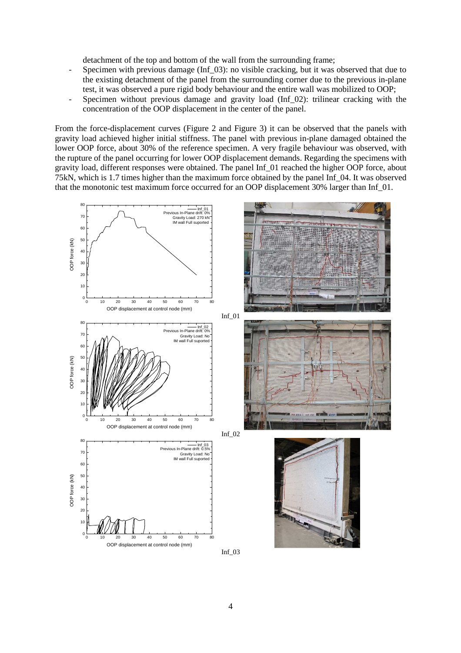detachment of the top and bottom of the wall from the surrounding frame;

- Specimen with previous damage (Inf\_03): no visible cracking, but it was observed that due to the existing detachment of the panel from the surrounding corner due to the previous in-plane test, it was observed a pure rigid body behaviour and the entire wall was mobilized to OOP;
- Specimen without previous damage and gravity load (Inf 02): trilinear cracking with the concentration of the OOP displacement in the center of the panel.

From the force-displacement curves (Figure 2 and Figure 3) it can be observed that the panels with gravity load achieved higher initial stiffness. The panel with previous in-plane damaged obtained the lower OOP force, about 30% of the reference specimen. A very fragile behaviour was observed, with the rupture of the panel occurring for lower OOP displacement demands. Regarding the specimens with gravity load, different responses were obtained. The panel Inf\_01 reached the higher OOP force, about 75kN, which is 1.7 times higher than the maximum force obtained by the panel Inf\_04. It was observed that the monotonic test maximum force occurred for an OOP displacement 30% larger than Inf\_01.

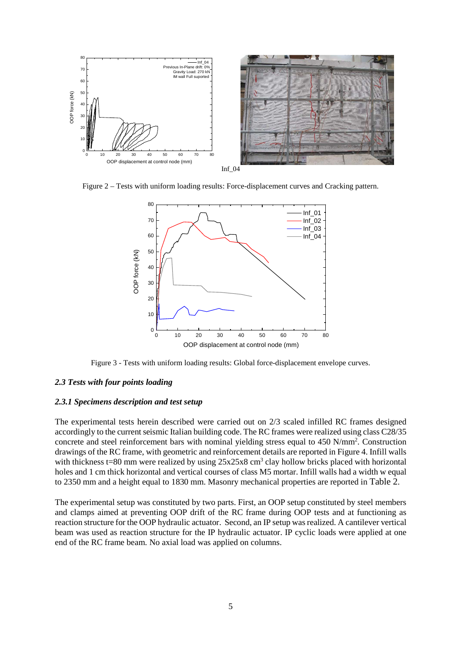

Figure 2 – Tests with uniform loading results: Force-displacement curves and Cracking pattern.



Figure 3 - Tests with uniform loading results: Global force-displacement envelope curves.

#### *2.3 Tests with four points loading*

#### *2.3.1 Specimens description and test setup*

The experimental tests herein described were carried out on 2/3 scaled infilled RC frames designed accordingly to the current seismic Italian building code. The RC frames were realized using class C28/35 concrete and steel reinforcement bars with nominal yielding stress equal to 450 N/mm<sup>2</sup>. Construction drawings of the RC frame, with geometric and reinforcement details are reported in Figure 4. Infill walls with thickness  $t=80$  mm were realized by using  $25x25x8$  cm<sup>3</sup> clay hollow bricks placed with horizontal holes and 1 cm thick horizontal and vertical courses of class M5 mortar. Infill walls had a width w equal to 2350 mm and a height equal to 1830 mm. Masonry mechanical properties are reported in Table 2.

The experimental setup was constituted by two parts. First, an OOP setup constituted by steel members and clamps aimed at preventing OOP drift of the RC frame during OOP tests and at functioning as reaction structure for the OOP hydraulic actuator. Second, an IP setup was realized. A cantilever vertical beam was used as reaction structure for the IP hydraulic actuator. IP cyclic loads were applied at one end of the RC frame beam. No axial load was applied on columns.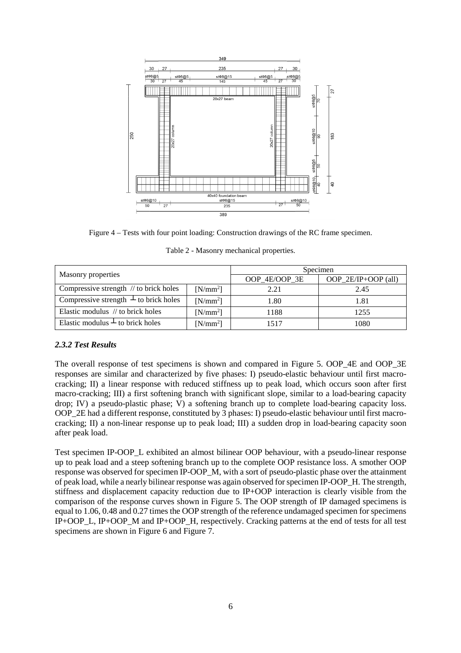

Figure 4 – Tests with four point loading: Construction drawings of the RC frame specimen.

Table 2 - Masonry mechanical properties.

|                                             |            | Specimen      |                     |  |  |
|---------------------------------------------|------------|---------------|---------------------|--|--|
| Masonry properties                          |            | OOP_4E/OOP_3E | OOP_2E/IP+OOP (all) |  |  |
| Compressive strength $\pi$ to brick holes   | $[N/mm^2]$ | 2.21          | 2.45                |  |  |
| Compressive strength $\perp$ to brick holes | $[N/mm^2]$ | 1.80          | 1.81                |  |  |
| Elastic modulus // to brick holes           | $[N/mm^2]$ | 1188          | 1255                |  |  |
| Elastic modulus $\perp$ to brick holes      | $[N/mm^2]$ | 1517          | 1080                |  |  |

## *2.3.2 Test Results*

The overall response of test specimens is shown and compared in Figure 5. OOP\_4E and OOP\_3E responses are similar and characterized by five phases: I) pseudo-elastic behaviour until first macrocracking; II) a linear response with reduced stiffness up to peak load, which occurs soon after first macro-cracking; III) a first softening branch with significant slope, similar to a load-bearing capacity drop; IV) a pseudo-plastic phase; V) a softening branch up to complete load-bearing capacity loss. OOP\_2E had a different response, constituted by 3 phases: I) pseudo-elastic behaviour until first macrocracking; II) a non-linear response up to peak load; III) a sudden drop in load-bearing capacity soon after peak load.

Test specimen IP-OOP\_L exhibited an almost bilinear OOP behaviour, with a pseudo-linear response up to peak load and a steep softening branch up to the complete OOP resistance loss. A smother OOP response was observed for specimen IP-OOP\_M, with a sort of pseudo-plastic phase over the attainment of peak load, while a nearly bilinear response was again observed for specimen IP-OOP\_H. The strength, stiffness and displacement capacity reduction due to IP+OOP interaction is clearly visible from the comparison of the response curves shown in Figure 5. The OOP strength of IP damaged specimens is equal to 1.06, 0.48 and 0.27 times the OOP strength of the reference undamaged specimen for specimens IP+OOP\_L, IP+OOP\_M and IP+OOP\_H, respectively. Cracking patterns at the end of tests for all test specimens are shown in Figure 6 and Figure 7.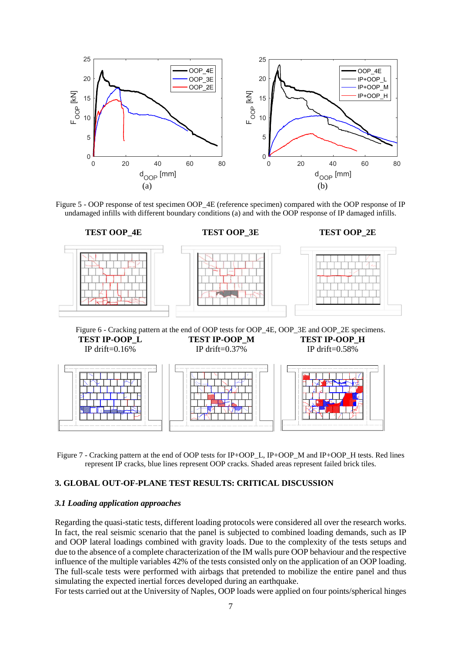





Figure 7 - Cracking pattern at the end of OOP tests for IP+OOP\_L, IP+OOP\_M and IP+OOP\_H tests. Red lines represent IP cracks, blue lines represent OOP cracks. Shaded areas represent failed brick tiles.

#### **3. GLOBAL OUT-OF-PLANE TEST RESULTS: CRITICAL DISCUSSION**

#### *3.1 Loading application approaches*

Regarding the quasi-static tests, different loading protocols were considered all over the research works. In fact, the real seismic scenario that the panel is subjected to combined loading demands, such as IP and OOP lateral loadings combined with gravity loads. Due to the complexity of the tests setups and due to the absence of a complete characterization of the IM walls pure OOP behaviour and the respective influence of the multiple variables 42% of the tests consisted only on the application of an OOP loading. The full-scale tests were performed with airbags that pretended to mobilize the entire panel and thus simulating the expected inertial forces developed during an earthquake.

For tests carried out at the University of Naples, OOP loads were applied on four points/spherical hinges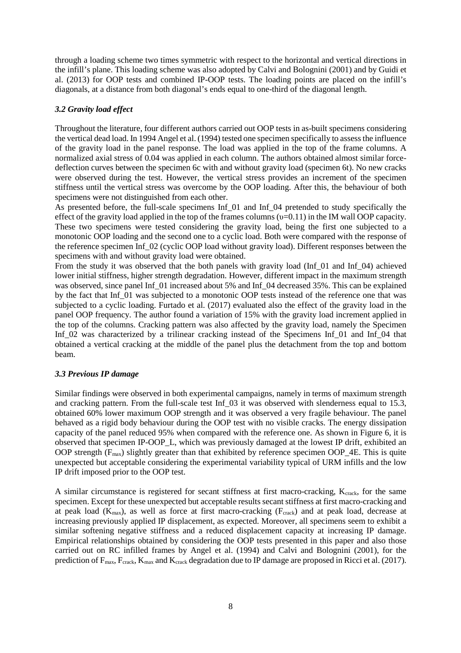through a loading scheme two times symmetric with respect to the horizontal and vertical directions in the infill's plane. This loading scheme was also adopted by Calvi and Bolognini (2001) and by Guidi et al. (2013) for OOP tests and combined IP-OOP tests. The loading points are placed on the infill's diagonals, at a distance from both diagonal's ends equal to one-third of the diagonal length.

## *3.2 Gravity load effect*

Throughout the literature, four different authors carried out OOP tests in as-built specimens considering the vertical dead load. In 1994 Angel et al. (1994) tested one specimen specifically to assess the influence of the gravity load in the panel response. The load was applied in the top of the frame columns. A normalized axial stress of 0.04 was applied in each column. The authors obtained almost similar forcedeflection curves between the specimen 6c with and without gravity load (specimen 6t). No new cracks were observed during the test. However, the vertical stress provides an increment of the specimen stiffness until the vertical stress was overcome by the OOP loading. After this, the behaviour of both specimens were not distinguished from each other.

As presented before, the full-scale specimens Inf\_01 and Inf\_04 pretended to study specifically the effect of the gravity load applied in the top of the frames columns  $(v=0.11)$  in the IM wall OOP capacity. These two specimens were tested considering the gravity load, being the first one subjected to a monotonic OOP loading and the second one to a cyclic load. Both were compared with the response of the reference specimen Inf\_02 (cyclic OOP load without gravity load). Different responses between the specimens with and without gravity load were obtained.

From the study it was observed that the both panels with gravity load (Inf\_01 and Inf\_04) achieved lower initial stiffness, higher strength degradation. However, different impact in the maximum strength was observed, since panel Inf. 01 increased about 5% and Inf. 04 decreased 35%. This can be explained by the fact that Inf  $\overline{01}$  was subjected to a monotonic OOP tests instead of the reference one that was subjected to a cyclic loading. Furtado et al. (2017) evaluated also the effect of the gravity load in the panel OOP frequency. The author found a variation of 15% with the gravity load increment applied in the top of the columns. Cracking pattern was also affected by the gravity load, namely the Specimen Inf\_02 was characterized by a trilinear cracking instead of the Specimens Inf\_01 and Inf\_04 that obtained a vertical cracking at the middle of the panel plus the detachment from the top and bottom beam.

## *3.3 Previous IP damage*

Similar findings were observed in both experimental campaigns, namely in terms of maximum strength and cracking pattern. From the full-scale test Inf 03 it was observed with slenderness equal to 15.3, obtained 60% lower maximum OOP strength and it was observed a very fragile behaviour. The panel behaved as a rigid body behaviour during the OOP test with no visible cracks. The energy dissipation capacity of the panel reduced 95% when compared with the reference one. As shown in Figure 6, it is observed that specimen IP-OOP\_L, which was previously damaged at the lowest IP drift, exhibited an OOP strength  $(F_{max})$  slightly greater than that exhibited by reference specimen OOP\_4E. This is quite unexpected but acceptable considering the experimental variability typical of URM infills and the low IP drift imposed prior to the OOP test.

A similar circumstance is registered for secant stiffness at first macro-cracking,  $K_{crack}$ , for the same specimen. Except for these unexpected but acceptable results secant stiffness at first macro-cracking and at peak load ( $K_{\text{max}}$ ), as well as force at first macro-cracking ( $F_{\text{crack}}$ ) and at peak load, decrease at increasing previously applied IP displacement, as expected. Moreover, all specimens seem to exhibit a similar softening negative stiffness and a reduced displacement capacity at increasing IP damage. Empirical relationships obtained by considering the OOP tests presented in this paper and also those carried out on RC infilled frames by Angel et al. (1994) and Calvi and Bolognini (2001), for the prediction of F<sub>max</sub>, F<sub>crack</sub>, K<sub>max</sub> and K<sub>crack</sub> degradation due to IP damage are proposed in Ricci et al. (2017).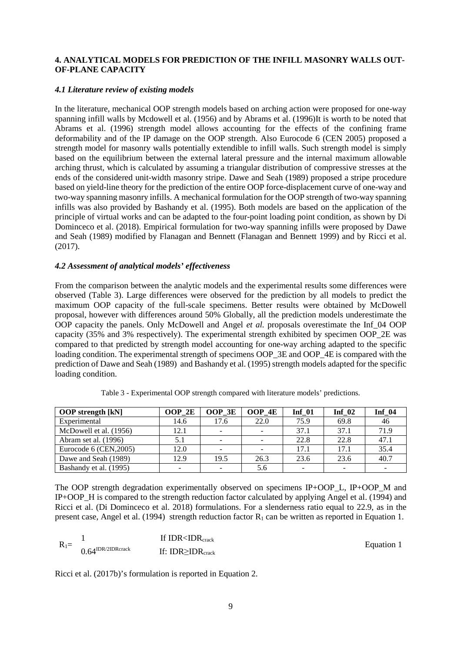## **4. ANALYTICAL MODELS FOR PREDICTION OF THE INFILL MASONRY WALLS OUT-OF-PLANE CAPACITY**

## *4.1 Literature review of existing models*

In the literature, mechanical OOP strength models based on arching action were proposed for one-way spanning infill walls by Mcdowell et al. (1956) and by Abrams et al. (1996)It is worth to be noted that Abrams et al. (1996) strength model allows accounting for the effects of the confining frame deformability and of the IP damage on the OOP strength. Also Eurocode 6 (CEN 2005) proposed a strength model for masonry walls potentially extendible to infill walls. Such strength model is simply based on the equilibrium between the external lateral pressure and the internal maximum allowable arching thrust, which is calculated by assuming a triangular distribution of compressive stresses at the ends of the considered unit-width masonry stripe. Dawe and Seah (1989) proposed a stripe procedure based on yield-line theory for the prediction of the entire OOP force-displacement curve of one-way and two-way spanning masonry infills. A mechanical formulation for the OOP strength of two-way spanning infills was also provided by Bashandy et al. (1995). Both models are based on the application of the principle of virtual works and can be adapted to the four-point loading point condition, as shown by Di Dominceco et al. (2018). Empirical formulation for two-way spanning infills were proposed by Dawe and Seah (1989) modified by Flanagan and Bennett (Flanagan and Bennett 1999) and by Ricci et al. (2017).

## *4.2 Assessment of analytical models' effectiveness*

From the comparison between the analytic models and the experimental results some differences were observed (Table 3). Large differences were observed for the prediction by all models to predict the maximum OOP capacity of the full-scale specimens. Better results were obtained by McDowell proposal, however with differences around 50% Globally, all the prediction models underestimate the OOP capacity the panels. Only McDowell and Angel *et al.* proposals overestimate the Inf\_04 OOP capacity (35% and 3% respectively). The experimental strength exhibited by specimen OOP\_2E was compared to that predicted by strength model accounting for one-way arching adapted to the specific loading condition. The experimental strength of specimens OOP\_3E and OOP\_4E is compared with the prediction of Dawe and Seah (1989) and Bashandy et al. (1995) strength models adapted for the specific loading condition.

| <b>OOP</b> strength [kN] | OOP 2E | OOP 3E                   | OOP 4E | Inf $01$ | Inf $02$ | <b>Inf</b> 04 |
|--------------------------|--------|--------------------------|--------|----------|----------|---------------|
| Experimental             | 14.6   | 17.6                     | 22.0   | 75.9     | 69.8     | 46            |
| McDowell et al. (1956)   | 12.1   | $\overline{\phantom{0}}$ |        | 37.1     | 37.1     | 71.9          |
| Abram set al. (1996)     | 5.1    | -                        |        | 22.8     | 22.8     | 47.1          |
| Eurocode 6 (CEN, 2005)   | 12.0   |                          |        | 17.1     | 17.1     | 35.4          |
| Dawe and Seah (1989)     | 12.9   | 19.5                     | 26.3   | 23.6     | 23.6     | 40.7          |
| Bashandy et al. (1995)   |        |                          | 5.6    |          |          |               |

Table 3 - Experimental OOP strength compared with literature models' predictions.

The OOP strength degradation experimentally observed on specimens IP+OOP L, IP+OOP M and IP+OOP\_H is compared to the strength reduction factor calculated by applying Angel et al. (1994) and Ricci et al. (Di Dominceco et al. 2018) formulations. For a slenderness ratio equal to 22.9, as in the present case, Angel et al. (1994) strength reduction factor  $R_1$  can be written as reported in Equation 1.

$$
R_1 = \begin{array}{cc}\n1 & \text{If IDR < IDR}_{crack} \\
0.64^{IDR/2IDRcrack}\n\end{array}
$$
\nIf IDR < IDR < IDR\_{crack}

\nEquation 1

Ricci et al. (2017b)'s formulation is reported in Equation 2.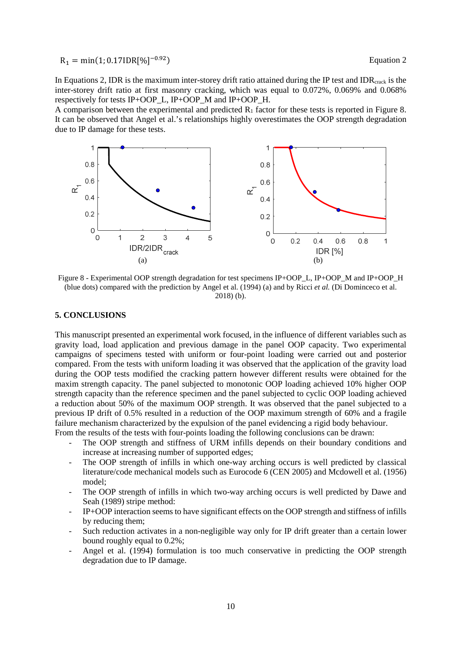# $R_1 = min(1; 0.17IDR[%])$

In Equations 2, IDR is the maximum inter-storey drift ratio attained during the IP test and IDR $_{\text{crack}}$  is the inter-storey drift ratio at first masonry cracking, which was equal to 0.072%, 0.069% and 0.068% respectively for tests IP+OOP\_L, IP+OOP\_M and IP+OOP\_H.

A comparison between the experimental and predicted  $R_1$  factor for these tests is reported in Figure 8. It can be observed that Angel et al.'s relationships highly overestimates the OOP strength degradation due to IP damage for these tests.



Figure 8 - Experimental OOP strength degradation for test specimens IP+OOP\_L, IP+OOP\_M and IP+OOP\_H (blue dots) compared with the prediction by Angel et al. (1994) (a) and by Ricci *et al.* (Di Dominceco et al. 2018) (b).

#### **5. CONCLUSIONS**

This manuscript presented an experimental work focused, in the influence of different variables such as gravity load, load application and previous damage in the panel OOP capacity. Two experimental campaigns of specimens tested with uniform or four-point loading were carried out and posterior compared. From the tests with uniform loading it was observed that the application of the gravity load during the OOP tests modified the cracking pattern however different results were obtained for the maxim strength capacity. The panel subjected to monotonic OOP loading achieved 10% higher OOP strength capacity than the reference specimen and the panel subjected to cyclic OOP loading achieved a reduction about 50% of the maximum OOP strength. It was observed that the panel subjected to a previous IP drift of 0.5% resulted in a reduction of the OOP maximum strength of 60% and a fragile failure mechanism characterized by the expulsion of the panel evidencing a rigid body behaviour. From the results of the tests with four-points loading the following conclusions can be drawn:

- The OOP strength and stiffness of URM infills depends on their boundary conditions and increase at increasing number of supported edges;
- The OOP strength of infills in which one-way arching occurs is well predicted by classical literature/code mechanical models such as Eurocode 6 (CEN 2005) and Mcdowell et al. (1956) model;
- The OOP strength of infills in which two-way arching occurs is well predicted by Dawe and Seah (1989) stripe method:
- IP+OOP interaction seems to have significant effects on the OOP strength and stiffness of infills by reducing them;
- Such reduction activates in a non-negligible way only for IP drift greater than a certain lower bound roughly equal to 0.2%;
- Angel et al. (1994) formulation is too much conservative in predicting the OOP strength degradation due to IP damage.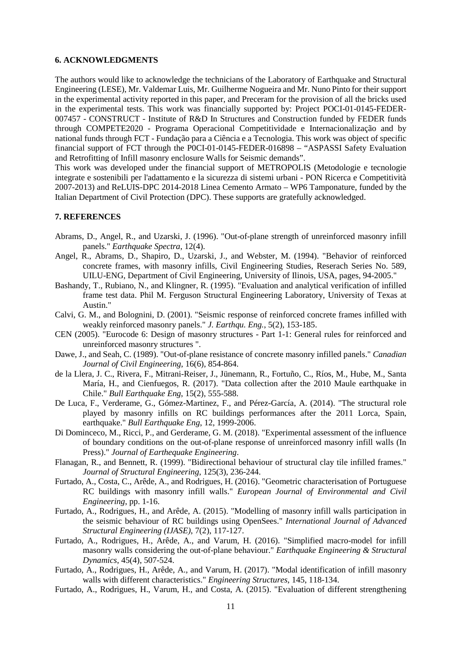#### **6. ACKNOWLEDGMENTS**

The authors would like to acknowledge the technicians of the Laboratory of Earthquake and Structural Engineering (LESE), Mr. Valdemar Luis, Mr. Guilherme Nogueira and Mr. Nuno Pinto for their support in the experimental activity reported in this paper, and Preceram for the provision of all the bricks used in the experimental tests. This work was financially supported by: Project POCI-01-0145-FEDER-007457 - CONSTRUCT - Institute of R&D In Structures and Construction funded by FEDER funds through COMPETE2020 - Programa Operacional Competitividade e Internacionalização and by national funds through FCT - Fundação para a Ciência e a Tecnologia. This work was object of specific financial support of FCT through the P0CI-01-0145-FEDER-016898 – "ASPASSI Safety Evaluation and Retrofitting of Infill masonry enclosure Walls for Seismic demands".

This work was developed under the financial support of METROPOLIS (Metodologie e tecnologie integrate e sostenibili per l'adattamento e la sicurezza di sistemi urbani - PON Ricerca e Competitività 2007-2013) and ReLUIS-DPC 2014-2018 Linea Cemento Armato – WP6 Tamponature, funded by the Italian Department of Civil Protection (DPC). These supports are gratefully acknowledged.

## **7. REFERENCES**

- Abrams, D., Angel, R., and Uzarski, J. (1996). "Out-of-plane strength of unreinforced masonry infill panels." *Earthquake Spectra*, 12(4).
- Angel, R., Abrams, D., Shapiro, D., Uzarski, J., and Webster, M. (1994). "Behavior of reinforced concrete frames, with masonry infills, Civil Engineering Studies, Reserach Series No. 589, UILU-ENG, Department of Civil Engineering, University of Ilinois, USA, pages, 94-2005."
- Bashandy, T., Rubiano, N., and Klingner, R. (1995). "Evaluation and analytical verification of infilled frame test data. Phil M. Ferguson Structural Engineering Laboratory, University of Texas at Austin."
- Calvi, G. M., and Bolognini, D. (2001). "Seismic response of reinforced concrete frames infilled with weakly reinforced masonry panels." *J. Earthqu. Eng.*, 5(2), 153-185.
- CEN (2005). "Eurocode 6: Design of masonry structures Part 1-1: General rules for reinforced and unreinforced masonry structures ".
- Dawe, J., and Seah, C. (1989). "Out-of-plane resistance of concrete masonry infilled panels." *Canadian Journal of Civil Engineering*, 16(6), 854-864.
- de la Llera, J. C., Rivera, F., Mitrani-Reiser, J., Jünemann, R., Fortuño, C., Ríos, M., Hube, M., Santa María, H., and Cienfuegos, R. (2017). "Data collection after the 2010 Maule earthquake in Chile." *Bull Earthquake Eng*, 15(2), 555-588.
- De Luca, F., Verderame, G., Gómez-Martinez, F., and Pérez-García, A. (2014). "The structural role played by masonry infills on RC buildings performances after the 2011 Lorca, Spain, earthquake." *Bull Earthquake Eng*, 12, 1999-2006.
- Di Dominceco, M., Ricci, P., and Gerderame, G. M. (2018). "Experimental assessment of the influence of boundary conditions on the out-of-plane response of unreinforced masonry infill walls (In Press)." *Journal of Earthequake Engineering*.
- Flanagan, R., and Bennett, R. (1999). "Bidirectional behaviour of structural clay tile infilled frames." *Journal of Structural Engineering*, 125(3), 236-244.
- Furtado, A., Costa, C., Arêde, A., and Rodrigues, H. (2016). "Geometric characterisation of Portuguese RC buildings with masonry infill walls." *European Journal of Environmental and Civil Engineering*, pp. 1-16.
- Furtado, A., Rodrigues, H., and Arêde, A. (2015). "Modelling of masonry infill walls participation in the seismic behaviour of RC buildings using OpenSees." *International Journal of Advanced Structural Engineering (IJASE)*, 7(2), 117-127.
- Furtado, A., Rodrigues, H., Arêde, A., and Varum, H. (2016). "Simplified macro-model for infill masonry walls considering the out-of-plane behaviour." *Earthquake Engineering & Structural Dynamics*, 45(4), 507-524.
- Furtado, A., Rodrigues, H., Arêde, A., and Varum, H. (2017). "Modal identification of infill masonry walls with different characteristics." *Engineering Structures*, 145, 118-134.
- Furtado, A., Rodrigues, H., Varum, H., and Costa, A. (2015). "Evaluation of different strengthening